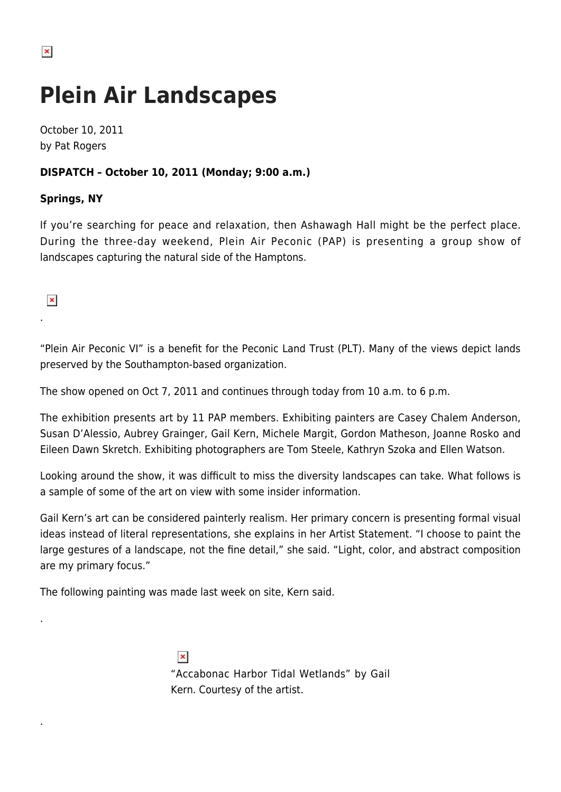## **Plein Air Landscapes**

October 10, 2011 by Pat Rogers

## **DISPATCH – October 10, 2011 (Monday; 9:00 a.m.)**

## **Springs, NY**

If you're searching for peace and relaxation, then Ashawagh Hall might be the perfect place. During the three-day weekend, Plein Air Peconic (PAP) is presenting a group show of landscapes capturing the natural side of the Hamptons.

 $\pmb{\times}$ 

.

.

.

"Plein Air Peconic VI" is a benefit for the Peconic Land Trust (PLT). Many of the views depict lands preserved by the Southampton-based organization.

The show opened on Oct 7, 2011 and continues through today from 10 a.m. to 6 p.m.

The exhibition presents art by 11 PAP members. Exhibiting painters are Casey Chalem Anderson, Susan D'Alessio, Aubrey Grainger, Gail Kern, Michele Margit, Gordon Matheson, Joanne Rosko and Eileen Dawn Skretch. Exhibiting photographers are Tom Steele, Kathryn Szoka and Ellen Watson.

Looking around the show, it was difficult to miss the diversity landscapes can take. What follows is a sample of some of the art on view with some insider information.

Gail Kern's art can be considered painterly realism. Her primary concern is presenting formal visual ideas instead of literal representations, she explains in her Artist Statement. "I choose to paint the large gestures of a landscape, not the fine detail," she said. "Light, color, and abstract composition are my primary focus."

The following painting was made last week on site, Kern said.

 $\pmb{\times}$ 

"Accabonac Harbor Tidal Wetlands" by Gail

Kern. Courtesy of the artist.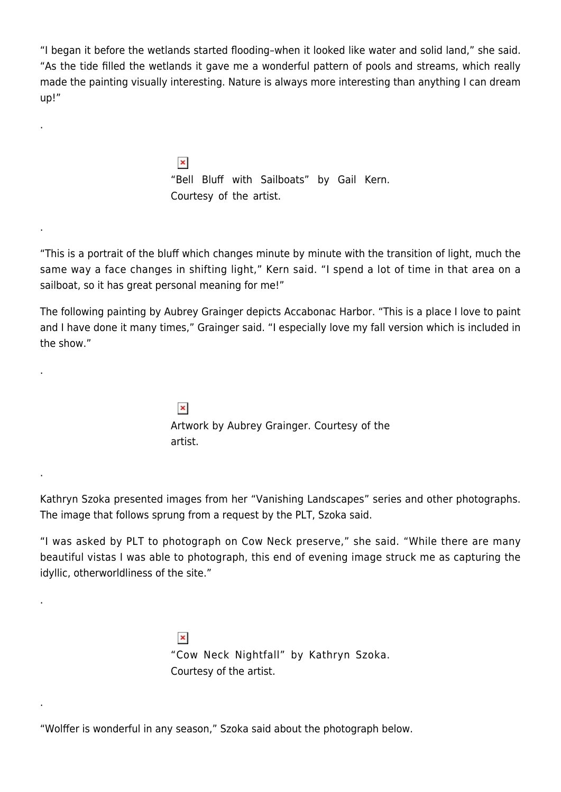"I began it before the wetlands started flooding–when it looked like water and solid land," she said. "As the tide filled the wetlands it gave me a wonderful pattern of pools and streams, which really made the painting visually interesting. Nature is always more interesting than anything I can dream up!"

> $\pmb{\times}$ "Bell Bluff with Sailboats" by Gail Kern. Courtesy of the artist.

.

.

.

.

.

.

"This is a portrait of the bluff which changes minute by minute with the transition of light, much the same way a face changes in shifting light," Kern said. "I spend a lot of time in that area on a sailboat, so it has great personal meaning for me!"

The following painting by Aubrey Grainger depicts Accabonac Harbor. "This is a place I love to paint and I have done it many times," Grainger said. "I especially love my fall version which is included in the show."

> $\pmb{\times}$ Artwork by Aubrey Grainger. Courtesy of the artist.

Kathryn Szoka presented images from her "Vanishing Landscapes" series and other photographs. The image that follows sprung from a request by the PLT, Szoka said.

"I was asked by PLT to photograph on Cow Neck preserve," she said. "While there are many beautiful vistas I was able to photograph, this end of evening image struck me as capturing the idyllic, otherworldliness of the site."

> $\pmb{\times}$ "Cow Neck Nightfall" by Kathryn Szoka. Courtesy of the artist.

"Wolffer is wonderful in any season," Szoka said about the photograph below.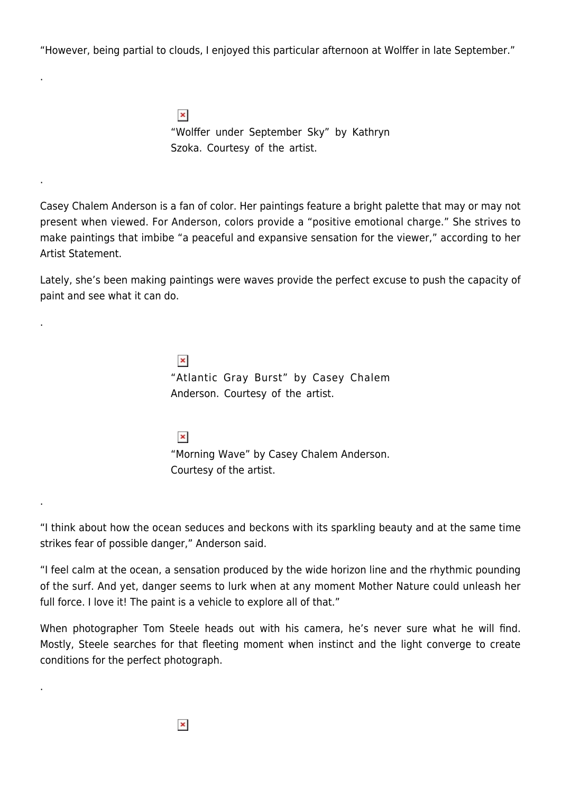"However, being partial to clouds, I enjoyed this particular afternoon at Wolffer in late September."

.

.

.

.

.

 $\pmb{\times}$ "Wolffer under September Sky" by Kathryn Szoka. Courtesy of the artist.

Casey Chalem Anderson is a fan of color. Her paintings feature a bright palette that may or may not present when viewed. For Anderson, colors provide a "positive emotional charge." She strives to make paintings that imbibe "a peaceful and expansive sensation for the viewer," according to her Artist Statement.

Lately, she's been making paintings were waves provide the perfect excuse to push the capacity of paint and see what it can do.

> $\pmb{\times}$ "Atlantic Gray Burst" by Casey Chalem Anderson. Courtesy of the artist.

> $\pmb{\times}$ "Morning Wave" by Casey Chalem Anderson. Courtesy of the artist.

"I think about how the ocean seduces and beckons with its sparkling beauty and at the same time strikes fear of possible danger," Anderson said.

"I feel calm at the ocean, a sensation produced by the wide horizon line and the rhythmic pounding of the surf. And yet, danger seems to lurk when at any moment Mother Nature could unleash her full force. I love it! The paint is a vehicle to explore all of that."

When photographer Tom Steele heads out with his camera, he's never sure what he will find. Mostly, Steele searches for that fleeting moment when instinct and the light converge to create conditions for the perfect photograph.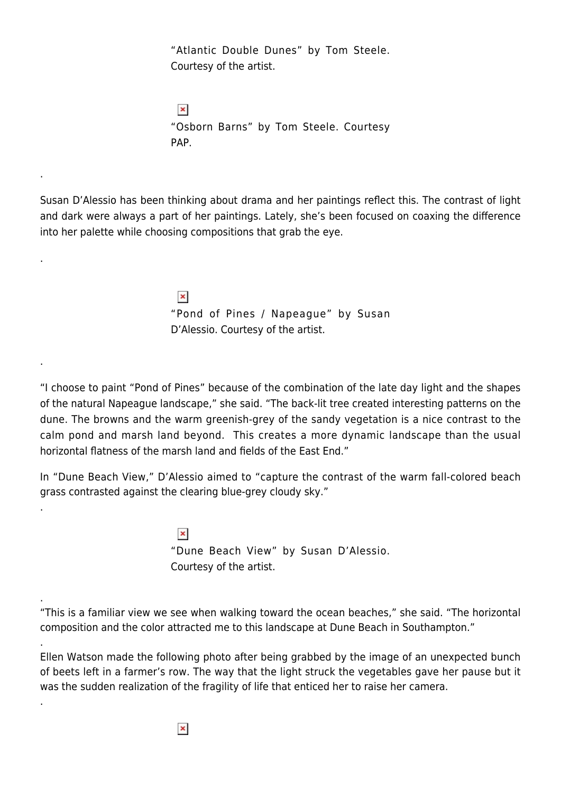"Atlantic Double Dunes" by Tom Steele. Courtesy of the artist.

 $\pmb{\times}$ "Osborn Barns" by Tom Steele. Courtesy PAP.

.

.

.

.

.

.

.

Susan D'Alessio has been thinking about drama and her paintings reflect this. The contrast of light and dark were always a part of her paintings. Lately, she's been focused on coaxing the difference into her palette while choosing compositions that grab the eye.

> $\pmb{\times}$ "Pond of Pines / Napeague" by Susan D'Alessio. Courtesy of the artist.

"I choose to paint "Pond of Pines" because of the combination of the late day light and the shapes of the natural Napeague landscape," she said. "The back-lit tree created interesting patterns on the dune. The browns and the warm greenish-grey of the sandy vegetation is a nice contrast to the calm pond and marsh land beyond. This creates a more dynamic landscape than the usual horizontal flatness of the marsh land and fields of the East End."

In "Dune Beach View," D'Alessio aimed to "capture the contrast of the warm fall-colored beach grass contrasted against the clearing blue-grey cloudy sky."

> $\pmb{\times}$ "Dune Beach View" by Susan D'Alessio. Courtesy of the artist.

"This is a familiar view we see when walking toward the ocean beaches," she said. "The horizontal composition and the color attracted me to this landscape at Dune Beach in Southampton."

Ellen Watson made the following photo after being grabbed by the image of an unexpected bunch of beets left in a farmer's row. The way that the light struck the vegetables gave her pause but it was the sudden realization of the fragility of life that enticed her to raise her camera.

 $\pmb{\times}$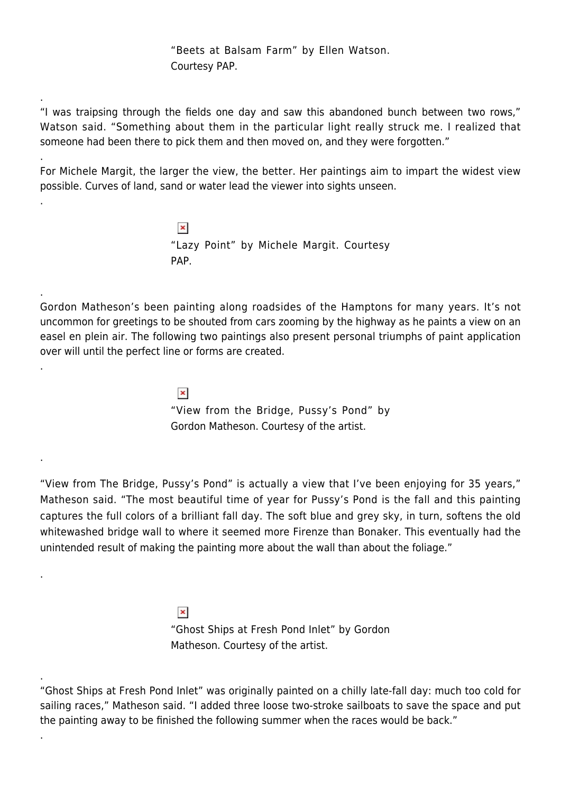"Beets at Balsam Farm" by Ellen Watson. Courtesy PAP.

"I was traipsing through the fields one day and saw this abandoned bunch between two rows," Watson said. "Something about them in the particular light really struck me. I realized that someone had been there to pick them and then moved on, and they were forgotten."

.

.

.

.

.

.

.

.

.

For Michele Margit, the larger the view, the better. Her paintings aim to impart the widest view possible. Curves of land, sand or water lead the viewer into sights unseen.

> $\pmb{\times}$ "Lazy Point" by Michele Margit. Courtesy PAP.

Gordon Matheson's been painting along roadsides of the Hamptons for many years. It's not uncommon for greetings to be shouted from cars zooming by the highway as he paints a view on an easel en plein air. The following two paintings also present personal triumphs of paint application over will until the perfect line or forms are created.

> $\pmb{\times}$ "View from the Bridge, Pussy's Pond" by Gordon Matheson. Courtesy of the artist.

"View from The Bridge, Pussy's Pond" is actually a view that I've been enjoying for 35 years," Matheson said. "The most beautiful time of year for Pussy's Pond is the fall and this painting captures the full colors of a brilliant fall day. The soft blue and grey sky, in turn, softens the old whitewashed bridge wall to where it seemed more Firenze than Bonaker. This eventually had the unintended result of making the painting more about the wall than about the foliage."

> $\pmb{\times}$ "Ghost Ships at Fresh Pond Inlet" by Gordon Matheson. Courtesy of the artist.

<sup>&</sup>quot;Ghost Ships at Fresh Pond Inlet" was originally painted on a chilly late-fall day: much too cold for sailing races," Matheson said. "I added three loose two-stroke sailboats to save the space and put the painting away to be finished the following summer when the races would be back."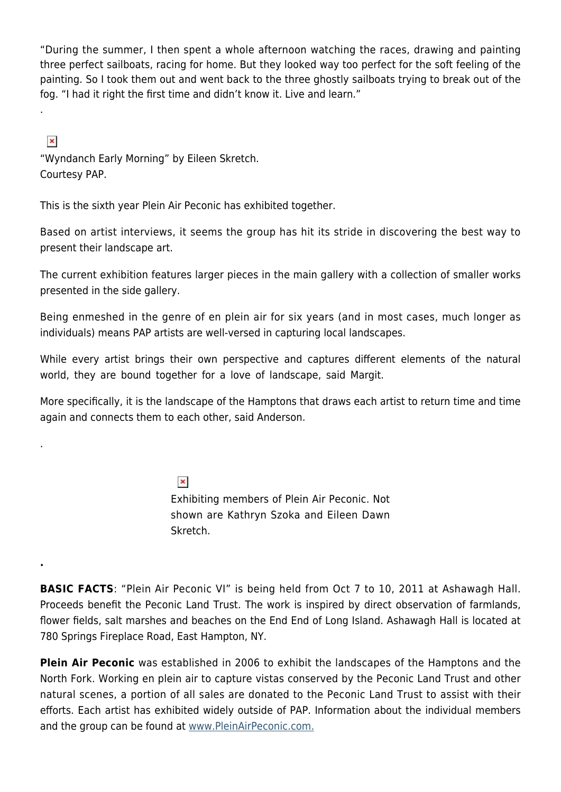"During the summer, I then spent a whole afternoon watching the races, drawing and painting three perfect sailboats, racing for home. But they looked way too perfect for the soft feeling of the painting. So I took them out and went back to the three ghostly sailboats trying to break out of the fog. "I had it right the first time and didn't know it. Live and learn."

 $\pmb{\times}$ 

.

.

**.**

"Wyndanch Early Morning" by Eileen Skretch. Courtesy PAP.

This is the sixth year Plein Air Peconic has exhibited together.

Based on artist interviews, it seems the group has hit its stride in discovering the best way to present their landscape art.

The current exhibition features larger pieces in the main gallery with a collection of smaller works presented in the side gallery.

Being enmeshed in the genre of en plein air for six years (and in most cases, much longer as individuals) means PAP artists are well-versed in capturing local landscapes.

While every artist brings their own perspective and captures different elements of the natural world, they are bound together for a love of landscape, said Margit.

More specifically, it is the landscape of the Hamptons that draws each artist to return time and time again and connects them to each other, said Anderson.

> $\pmb{\times}$ Exhibiting members of Plein Air Peconic. Not shown are Kathryn Szoka and Eileen Dawn Skretch.

**BASIC FACTS**: "Plein Air Peconic VI" is being held from Oct 7 to 10, 2011 at Ashawagh Hall. Proceeds benefit the Peconic Land Trust. The work is inspired by direct observation of farmlands, flower fields, salt marshes and beaches on the End End of Long Island. Ashawagh Hall is located at 780 Springs Fireplace Road, East Hampton, NY.

**Plein Air Peconic** was established in 2006 to exhibit the landscapes of the Hamptons and the North Fork. Working en plein air to capture vistas conserved by the Peconic Land Trust and other natural scenes, a portion of all sales are donated to the Peconic Land Trust to assist with their efforts. Each artist has exhibited widely outside of PAP. Information about the individual members and the group can be found at [www.PleinAirPeconic.com.](http://www.pleinairpeconic.com/)